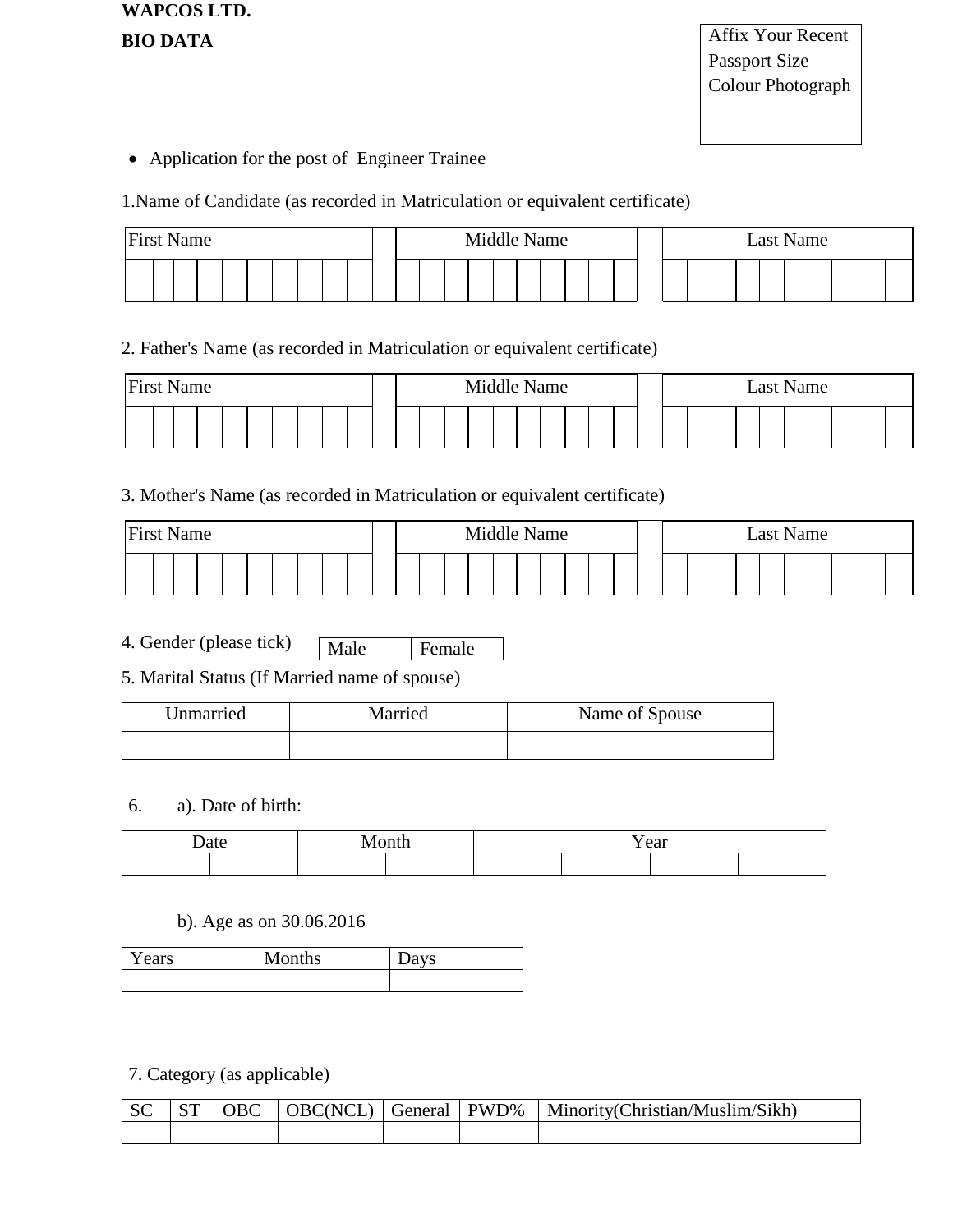**WAPCOS LTD. BIO DATA**

Application for the post of Engineer Trainee

### 1.Name of Candidate (as recorded in Matriculation or equivalent certificate)

| <b>First Name</b> |  |  |  |  |  | Middle Name |  |  |  |  |  | Last Name |  |  |  |
|-------------------|--|--|--|--|--|-------------|--|--|--|--|--|-----------|--|--|--|
|                   |  |  |  |  |  |             |  |  |  |  |  |           |  |  |  |

### 2. Father's Name (as recorded in Matriculation or equivalent certificate)

| <b>First Name</b> |  |  |  |  |  |  | Middle Name |  |  |  |  |  | Last Name |  |  |  |
|-------------------|--|--|--|--|--|--|-------------|--|--|--|--|--|-----------|--|--|--|
|                   |  |  |  |  |  |  |             |  |  |  |  |  |           |  |  |  |

### 3. Mother's Name (as recorded in Matriculation or equivalent certificate)

| <b>First Name</b> |  |  |  |  |  | Middle Name |  |  |  | Last Name |  |  |  |  |  |  |  |  |  |  |  |  |  |  |  |  |
|-------------------|--|--|--|--|--|-------------|--|--|--|-----------|--|--|--|--|--|--|--|--|--|--|--|--|--|--|--|--|
|                   |  |  |  |  |  |             |  |  |  |           |  |  |  |  |  |  |  |  |  |  |  |  |  |  |  |  |

- 4. Gender (please tick) Male Female
- 5. Marital Status (If Married name of spouse)

| Unmarried | Married | Name of Spouse |
|-----------|---------|----------------|
|           |         |                |

### 6. a). Date of birth:

| . | Y ear |
|---|-------|
|   |       |

### b). Age as on 30.06.2016

| Years | Months | Days |
|-------|--------|------|
|       |        |      |

7. Category (as applicable)

|  |  |  | SC   ST   OBC   OBC(NCL)   General   PWD%   Minority(Christian/Muslim/Sikh) |
|--|--|--|-----------------------------------------------------------------------------|
|  |  |  |                                                                             |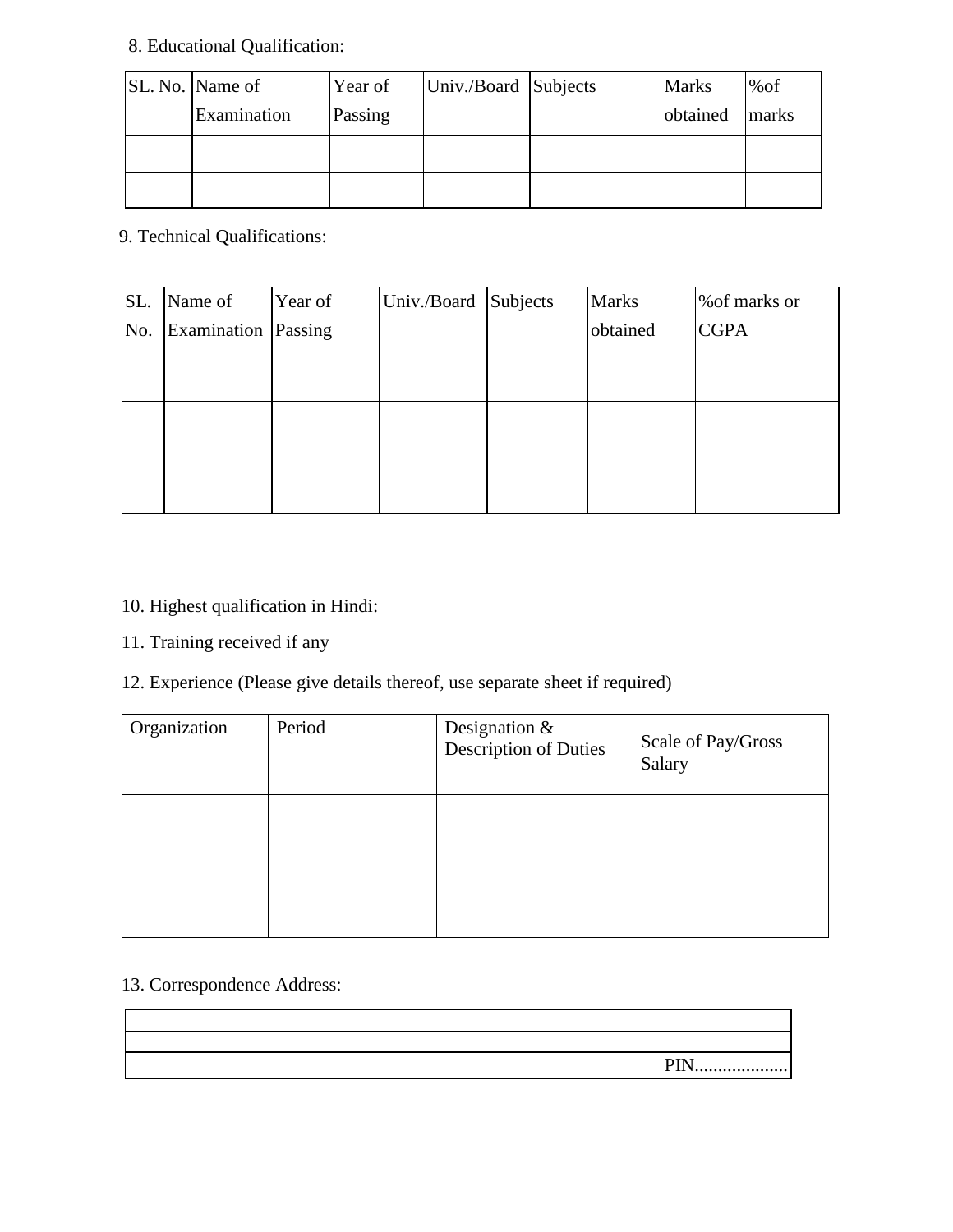# 8. Educational Qualification:

| SL. No. Name of | Year of | Univ./Board Subjects | <b>Marks</b> | %of   |
|-----------------|---------|----------------------|--------------|-------|
| Examination     | Passing |                      | obtained     | marks |
|                 |         |                      |              |       |
|                 |         |                      |              |       |

9. Technical Qualifications:

| SL. | Name of             | Year of | Univ./Board Subjects | <b>Marks</b> | % of marks or |
|-----|---------------------|---------|----------------------|--------------|---------------|
| No. | Examination Passing |         |                      | obtained     | <b>CGPA</b>   |
|     |                     |         |                      |              |               |
|     |                     |         |                      |              |               |
|     |                     |         |                      |              |               |
|     |                     |         |                      |              |               |
|     |                     |         |                      |              |               |
|     |                     |         |                      |              |               |

### 10. Highest qualification in Hindi:

11. Training received if any

## 12. Experience (Please give details thereof, use separate sheet if required)

| Organization | Period | Designation $\&$<br><b>Description of Duties</b> | Scale of Pay/Gross<br>Salary |
|--------------|--------|--------------------------------------------------|------------------------------|
|              |        |                                                  |                              |

### 13. Correspondence Address:

|  | DIN<br>1 11 \,,,,,,,,,,,,,,,,,,,,,, |
|--|-------------------------------------|
|  |                                     |
|  |                                     |